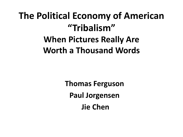## **The Political Economy of American "Tribalism" When Pictures Really Are Worth a Thousand Words**

**Thomas Ferguson Paul Jorgensen Jie Chen**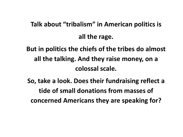#### **Talk about "tribalism" in American politics is all the rage.**

**But in politics the chiefs of the tribes do almost all the talking. And they raise money, on a colossal scale.**

**So, take a look. Does their fundraising reflect a tide of small donations from masses of concerned Americans they are speaking for?**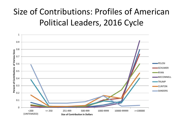#### Size of Contributions: Profiles of American Political Leaders, 2016 Cycle

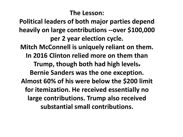#### **The Lesson:**

**Political leaders of both major parties depend heavily on large contributions --over \$100,000 per 2 year election cycle. Mitch McConnell is uniquely reliant on them. In 2016 Clinton relied more on them than Trump, though both had high levels. Bernie Sanders was the one exception. Almost 60% of his were below the \$200 limit for itemization. He received essentially no large contributions. Trump also received substantial small contributions.**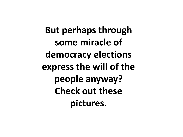**But perhaps through some miracle of democracy elections express the will of the people anyway? Check out these pictures.**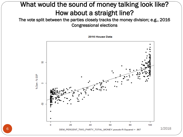#### What would the sound of money talking look like? How about a straight line?

The vote split between the parties closely tracks the money division; e.g., 2016 Congressional elections

2016 House Data

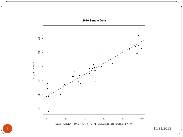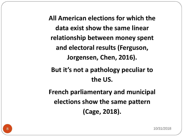**All American elections for which the data exist show the same linear relationship between money spent and electoral results (Ferguson, Jorgensen, Chen, 2016).**

**But it's not a pathology peculiar to the US.**

**French parliamentary and municipal elections show the same pattern (Cage, 2018).**

8 10/31/2018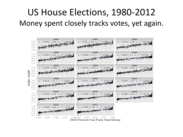#### US House Elections, 1980-2012 Money spent closely tracks votes, yet again.

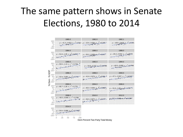## The same pattern shows in Senate Elections, 1980 to 2014

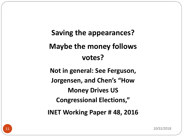## **Saving the appearances? Maybe the money follows votes?**

**Not in general: See Ferguson, Jorgensen, and Chen's "How Money Drives US Congressional Elections," INET Working Paper # 48, 2016**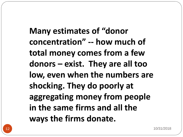**Many estimates of "donor concentration" -- how much of total money comes from a few donors – exist. They are all too low, even when the numbers are shocking. They do poorly at aggregating money from people in the same firms and all the ways the firms donate.**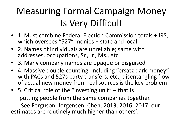## Measuring Formal Campaign Money Is Very Difficult

- 1. Must combine Federal Election Commission totals + IRS, which oversees "527" monies + state and local
- 2. Names of individuals are unreliable; same with addresses, occupations, Sr., Jr., Ms., etc.
- 3. Many company names are opaque or disguised
- 4. Massive double counting, including "ersatz dark money" with PACs and 527s party transfers, etc.; disentangling flow of actual new money from real sources is the key problem
- 5. Critical role of the "investing unit" that is putting people from the same companies together.

See Ferguson, Jorgensen, Chen, 2013, 2016, 2017; our estimates are routinely much higher than others'.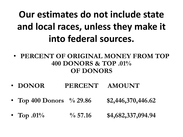## **Our estimates do not include state and local races, unless they make it into federal sources.**

- **PERCENT OF ORIGINAL MONEY FROM TOP 400 DONORS & TOP .01% OF DONORS**
- **DONOR PERCENT AMOUNT**
- **Top 400 Donors % 29.86 \$2,446,370,446.62**
- **Top .01%**  $\frac{6}{6}$  57.16 \$4,682,337,094.94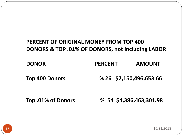#### **PERCENT OF ORIGINAL MONEY FROM TOP 400 DONORS & TOP .01% OF DONORS, not including LABOR**

| <b>DONOR</b> | <b>PERCENT</b> | <b>AMOUNT</b> |
|--------------|----------------|---------------|
|              |                |               |

**Top 400 Donors % 26 \$2,150,496,653.66**

**Top .01% of Donors % 54 \$4,386,463,301.98**

15 10/31/2018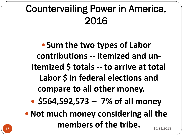## Countervailing Power in America, 2016

**Sum the two types of Labor contributions -- itemized and unitemized \$ totals -- to arrive at total Labor \$ in federal elections and compare to all other money.**

**\$564,592,573 -- 7% of all money**

**• Not much money considering all the members of the tribe.** 10/31/2018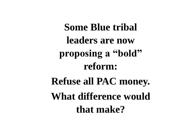**Some Blue tribal leaders are now proposing a "bold" reform: Refuse all PAC money. What difference would that make?**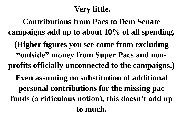#### **Very little.**

**Contributions from Pacs to Dem Senate campaigns add up to about 10% of all spending. (Higher figures you see come from excluding "outside" money from Super Pacs and nonprofits officially unconnected to the campaigns.) Even assuming no substitution of additional personal contributions for the missing pac funds (a ridiculous notion), this doesn't add up to much.**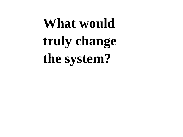# **What would truly change the system?**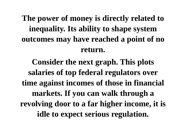**The power of money is directly related to inequality. Its ability to shape system outcomes may have reached a point of no return.**

**Consider the next graph. This plots salaries of top federal regulators over time against incomes of those in financial markets. If you can walk through a revolving door to a far higher income, it is idle to expect serious regulation.**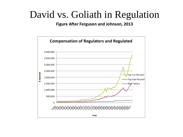### David vs. Goliath in Regulation

**Figure After Ferguson and Johnson, 2013** 

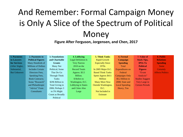### And Remember: Formal Campaign Money is Only A Slice of the Spectrum of Political Money

#### **Figure After Ferguson, Jorgensen, and Chen, 2017**

| 1. Payments         | 2. Payments to             | 3. Foundations   | 4. Lobbying                | <b>5. Think Tanks</b>      | 6. Formal             | 7. Value of            | 8. Public               |
|---------------------|----------------------------|------------------|----------------------------|----------------------------|-----------------------|------------------------|-------------------------|
| to Lawyers          | <b>Political Figures</b>   | and Charitable   | <b>Legal Definition Is</b> | Rapid Growth               | Campaign              | <b>Stock Tips,</b>     | <b>Relations</b>        |
| <b>for Services</b> | Many Hundreds of           | <b>Grants</b>    | <b>Very Narrow</b>         | <b>Especially Since</b>    | <b>Spending</b>       | <b>IPOs To</b>         | <b>Spending</b>         |
| (After Stigler,     | <b>Millions of Dollars</b> | Many Not         | $2010$ on the              | 1970s                      | Total                 | <b>Political</b>       | <b>Some</b>             |
| Substantial,        | <b>Includes Certain</b>    | Political; Some  | <b>Record Totals</b>       | In $2005$ Major D.C.       | Expenditures on       | <b>Figures</b>         | <b>Certainly</b>        |
| <b>But Unknown</b>  | Directors Fees.            | That Do Go       | Approx. $$3.5$             | <b>Based Think Tanks</b>   | Federal               | "Event"                | <b>Affects Politics</b> |
|                     | Speaking Fees,             | Through Think    | Billion.                   | Spent Approx \$411         | <b>Campaigns Only</b> | Analysis"              |                         |
|                     | <b>Book Contracts:</b>     | Tanks            | \$ Refers to               | <b>Million</b>             | \$5.2 Billion in      | <b>Studies Suggest</b> |                         |
|                     | Some "Research"            | \$296 Billion in | Washington, D.C.           | <b>Many More Now</b>       | 2008; State and       | Very Large in          |                         |
|                     | and Philanthropic          | Total Giving in  | Lobbying in States         | <b>Outside Washington,</b> | <b>Local Spending</b> | <b>Certain Periods</b> |                         |
|                     | "Advice" From              | 2006; Perhaps 3  | and Cities Also            | D.C.                       | Heavy, Too            |                        |                         |
|                     | Consultants                | to 5% Might      | Large                      | Not Included in            |                       |                        |                         |
|                     |                            | Count as Broadly |                            | Estimate                   |                       |                        |                         |
|                     |                            | Political        |                            |                            |                       |                        |                         |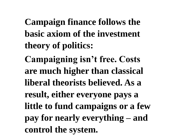**Campaign finance follows the basic axiom of the investment theory of politics: Campaigning isn't free. Costs are much higher than classical liberal theorists believed. As a result, either everyone pays a little to fund campaigns or a few pay for nearly everything – and control the system.**